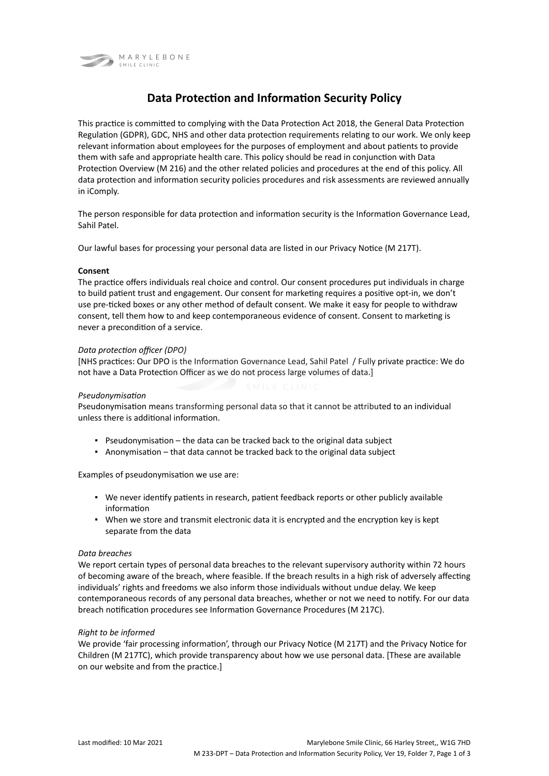

# **Data Protection and Information Security Policy**

This practice is committed to complying with the Data Protection Act 2018, the General Data Protection Regulation (GDPR), GDC, NHS and other data protection requirements relating to our work. We only keep relevant information about employees for the purposes of employment and about patients to provide them with safe and appropriate health care. This policy should be read in conjunction with Data Protection Overview (M 216) and the other related policies and procedures at the end of this policy. All data protection and information security policies procedures and risk assessments are reviewed annually in iComply.

The person responsible for data protection and information security is the Information Governance Lead, Sahil Patel.

Our lawful bases for processing your personal data are listed in our Privacy Notice (M 217T).

## **Consent**

The practice offers individuals real choice and control. Our consent procedures put individuals in charge to build patient trust and engagement. Our consent for marketing requires a positive opt-in, we don't use pre-ticked boxes or any other method of default consent. We make it easy for people to withdraw consent, tell them how to and keep contemporaneous evidence of consent. Consent to marketing is never a precondition of a service.

## *Data protection officer (DPO)*

[NHS practices: Our DPO is the Information Governance Lead, Sahil Patel / Fully private practice: We do not have a Data Protection Officer as we do not process large volumes of data.]

#### *Pseudonymisation*

Pseudonymisation means transforming personal data so that it cannot be attributed to an individual unless there is additional information.

- Pseudonymisation the data can be tracked back to the original data subject
- Anonymisation that data cannot be tracked back to the original data subject

Examples of pseudonymisation we use are:

- We never identify patients in research, patient feedback reports or other publicly available information
- When we store and transmit electronic data it is encrypted and the encryption key is kept separate from the data

#### *Data breaches*

We report certain types of personal data breaches to the relevant supervisory authority within 72 hours of becoming aware of the breach, where feasible. If the breach results in a high risk of adversely affecting individuals' rights and freedoms we also inform those individuals without undue delay. We keep contemporaneous records of any personal data breaches, whether or not we need to notify. For our data breach notification procedures see Information Governance Procedures (M 217C).

#### *Right to be informed*

We provide 'fair processing information', through our Privacy Notice (M 217T) and the Privacy Notice for Children (M 217TC), which provide transparency about how we use personal data. [These are available on our website and from the practice.]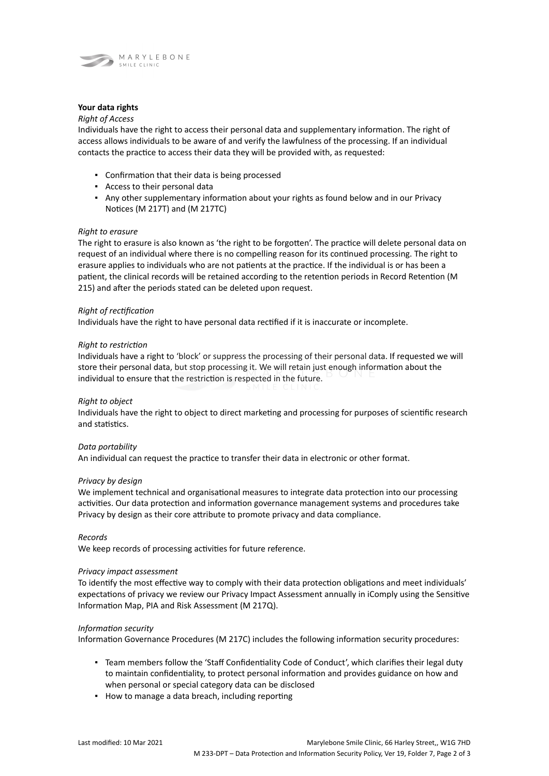

## **Your data rights**

## *Right of Access*

Individuals have the right to access their personal data and supplementary information. The right of access allows individuals to be aware of and verify the lawfulness of the processing. If an individual contacts the practice to access their data they will be provided with, as requested:

- Confirmation that their data is being processed
- Access to their personal data
- Any other supplementary information about your rights as found below and in our Privacy Notices (M 217T) and (M 217TC)

### *Right to erasure*

The right to erasure is also known as 'the right to be forgotten'. The practice will delete personal data on request of an individual where there is no compelling reason for its continued processing. The right to erasure applies to individuals who are not patients at the practice. If the individual is or has been a patient, the clinical records will be retained according to the retention periods in Record Retention (M 215) and after the periods stated can be deleted upon request.

## *Right of rectification*

Individuals have the right to have personal data rectified if it is inaccurate or incomplete.

#### *Right to restriction*

Individuals have a right to 'block' or suppress the processing of their personal data. If requested we will store their personal data, but stop processing it. We will retain just enough information about the individual to ensure that the restriction is respected in the future.

#### *Right to object*

Individuals have the right to object to direct marketing and processing for purposes of scientific research and statistics.

#### *Data portability*

An individual can request the practice to transfer their data in electronic or other format.

#### *Privacy by design*

We implement technical and organisational measures to integrate data protection into our processing activities. Our data protection and information governance management systems and procedures take Privacy by design as their core attribute to promote privacy and data compliance.

*Records*

We keep records of processing activities for future reference.

#### *Privacy impact assessment*

To identify the most effective way to comply with their data protection obligations and meet individuals' expectations of privacy we review our Privacy Impact Assessment annually in iComply using the Sensitive Information Map, PIA and Risk Assessment (M 217Q).

#### *Information security*

Information Governance Procedures (M 217C) includes the following information security procedures:

- Team members follow the 'Staff Confidentiality Code of Conduct', which clarifies their legal duty to maintain confidentiality, to protect personal information and provides guidance on how and when personal or special category data can be disclosed
- How to manage a data breach, including reporting